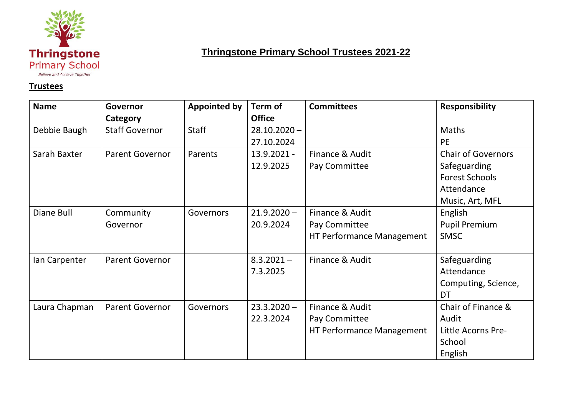

#### **Trustees**

# **Thringstone Primary School Trustees 2021-22**

| <b>Name</b>   | Governor               | <b>Appointed by</b> | Term of        | <b>Committees</b>         | <b>Responsibility</b>     |
|---------------|------------------------|---------------------|----------------|---------------------------|---------------------------|
|               | Category               |                     | <b>Office</b>  |                           |                           |
| Debbie Baugh  | <b>Staff Governor</b>  | <b>Staff</b>        | $28.10.2020 -$ |                           | Maths                     |
|               |                        |                     | 27.10.2024     |                           | <b>PE</b>                 |
| Sarah Baxter  | <b>Parent Governor</b> | Parents             | 13.9.2021 -    | Finance & Audit           | <b>Chair of Governors</b> |
|               |                        |                     | 12.9.2025      | Pay Committee             | Safeguarding              |
|               |                        |                     |                |                           | <b>Forest Schools</b>     |
|               |                        |                     |                |                           | Attendance                |
|               |                        |                     |                |                           | Music, Art, MFL           |
| Diane Bull    | Community              | Governors           | $21.9.2020 -$  | Finance & Audit           | English                   |
|               | Governor               |                     | 20.9.2024      | Pay Committee             | <b>Pupil Premium</b>      |
|               |                        |                     |                | HT Performance Management | <b>SMSC</b>               |
|               |                        |                     |                |                           |                           |
| Ian Carpenter | <b>Parent Governor</b> |                     | $8.3.2021 -$   | Finance & Audit           | Safeguarding              |
|               |                        |                     | 7.3.2025       |                           | Attendance                |
|               |                        |                     |                |                           | Computing, Science,       |
|               |                        |                     |                |                           | DT                        |
| Laura Chapman | <b>Parent Governor</b> | Governors           | $23.3.2020 -$  | Finance & Audit           | Chair of Finance &        |
|               |                        |                     | 22.3.2024      | Pay Committee             | Audit                     |
|               |                        |                     |                | HT Performance Management | Little Acorns Pre-        |
|               |                        |                     |                |                           | School                    |
|               |                        |                     |                |                           | English                   |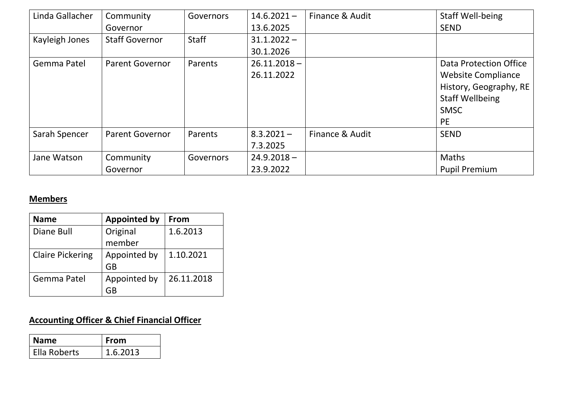| Linda Gallacher | Community              | Governors | $14.6.2021 -$  | Finance & Audit | <b>Staff Well-being</b>   |
|-----------------|------------------------|-----------|----------------|-----------------|---------------------------|
|                 | Governor               |           | 13.6.2025      |                 | <b>SEND</b>               |
| Kayleigh Jones  | <b>Staff Governor</b>  | Staff     | $31.1.2022 -$  |                 |                           |
|                 |                        |           | 30.1.2026      |                 |                           |
| Gemma Patel     | <b>Parent Governor</b> | Parents   | $26.11.2018 -$ |                 | Data Protection Office    |
|                 |                        |           | 26.11.2022     |                 | <b>Website Compliance</b> |
|                 |                        |           |                |                 | History, Geography, RE    |
|                 |                        |           |                |                 | <b>Staff Wellbeing</b>    |
|                 |                        |           |                |                 | <b>SMSC</b>               |
|                 |                        |           |                |                 | <b>PE</b>                 |
| Sarah Spencer   | <b>Parent Governor</b> | Parents   | $8.3.2021 -$   | Finance & Audit | <b>SEND</b>               |
|                 |                        |           | 7.3.2025       |                 |                           |
| Jane Watson     | Community              | Governors | $24.9.2018 -$  |                 | <b>Maths</b>              |
|                 | Governor               |           | 23.9.2022      |                 | <b>Pupil Premium</b>      |

### **Members**

| <b>Name</b>             | <b>Appointed by</b>       | From       |
|-------------------------|---------------------------|------------|
| Diane Bull              | Original<br>member        | 1.6.2013   |
| <b>Claire Pickering</b> | Appointed by<br><b>GB</b> | 1.10.2021  |
| Gemma Patel             | Appointed by              | 26.11.2018 |

# **Accounting Officer & Chief Financial Officer**

| <b>Name</b>  | From     |
|--------------|----------|
| Ella Roberts | 1.6.2013 |